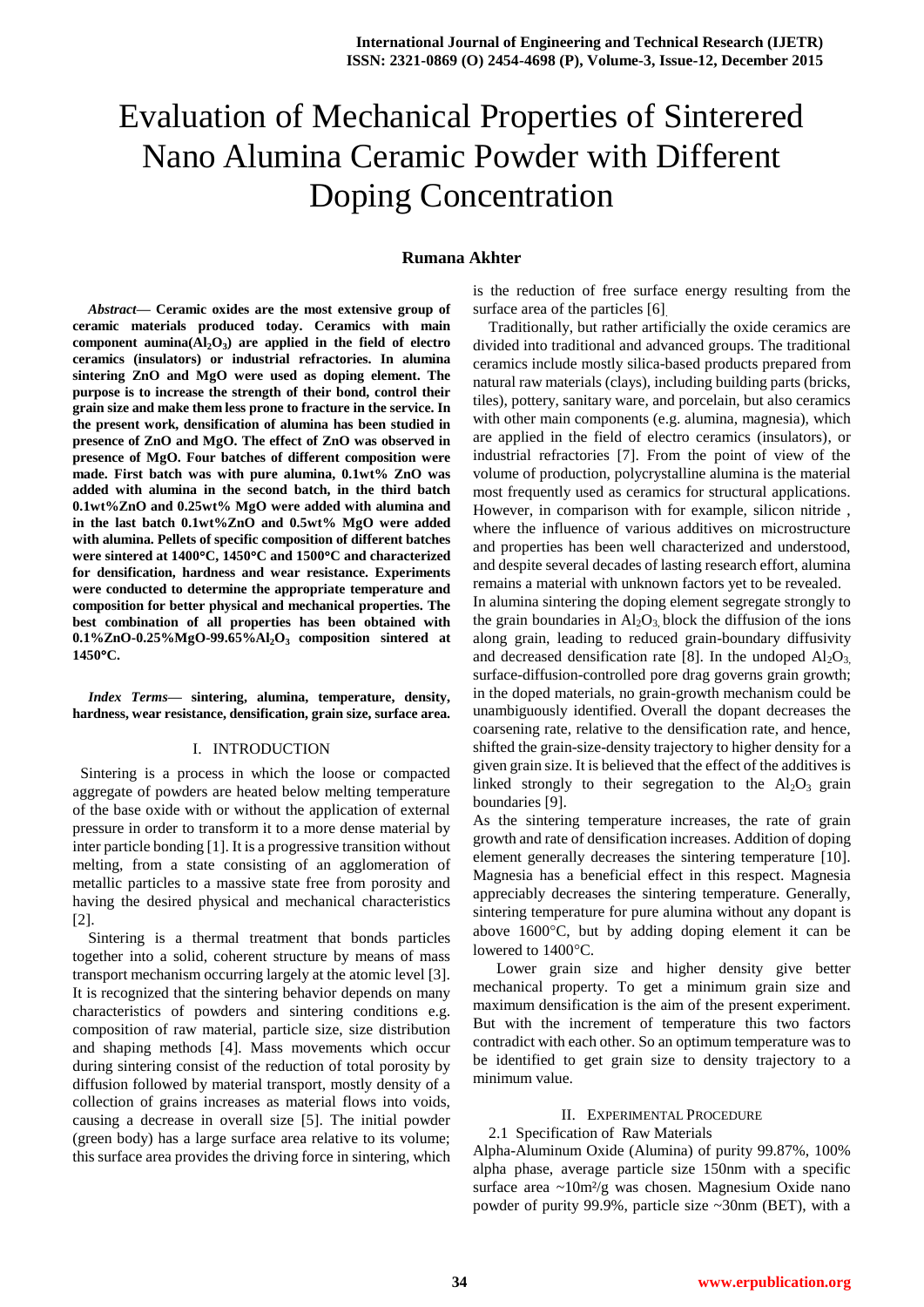# Evaluation of Mechanical Properties of Sinterered Nano Alumina Ceramic Powder with Different Doping Concentration

#### **Rumana Akhter**

*Abstract***— Ceramic oxides are the most extensive group of ceramic materials produced today. Ceramics with main component aumina(Al2O<sup>3</sup> ) are applied in the field of electro ceramics (insulators) or industrial refractories. In alumina sintering ZnO and MgO were used as doping element. The purpose is to increase the strength of their bond, control their grain size and make them less prone to fracture in the service. In the present work, densification of alumina has been studied in presence of ZnO and MgO. The effect of ZnO was observed in presence of MgO. Four batches of different composition were made. First batch was with pure alumina, 0.1wt% ZnO was added with alumina in the second batch, in the third batch 0.1wt%ZnO and 0.25wt% MgO were added with alumina and in the last batch 0.1wt%ZnO and 0.5wt% MgO were added with alumina. Pellets of specific composition of different batches were sintered at 1400C, 1450C and 1500C and characterized for densification, hardness and wear resistance. Experiments were conducted to determine the appropriate temperature and composition for better physical and mechanical properties. The best combination of all properties has been obtained with 0.1%ZnO-0.25%MgO-99.65%Al2O<sup>3</sup> composition sintered at 1450C.**

*Index Terms***— sintering, alumina, temperature, density, hardness, wear resistance, densification, grain size, surface area.**

#### I. INTRODUCTION

 Sintering is a process in which the loose or compacted aggregate of powders are heated below melting temperature of the base oxide with or without the application of external pressure in order to transform it to a more dense material by inter particle bonding [1]. It is a progressive transition without melting, from a state consisting of an agglomeration of metallic particles to a massive state free from porosity and having the desired physical and mechanical characteristics [2].

 Sintering is a thermal treatment that bonds particles together into a solid, coherent structure by means of mass transport mechanism occurring largely at the atomic level [3]. It is recognized that the sintering behavior depends on many characteristics of powders and sintering conditions e.g. composition of raw material, particle size, size distribution and shaping methods [4]. Mass movements which occur during sintering consist of the reduction of total porosity by diffusion followed by material transport, mostly density of a collection of grains increases as material flows into voids, causing a decrease in overall size [5]. The initial powder (green body) has a large surface area relative to its volume; this surface area provides the driving force in sintering, which is the reduction of free surface energy resulting from the surface area of the particles [6].

 Traditionally, but rather artificially the oxide ceramics are divided into traditional and advanced groups. The traditional ceramics include mostly silica-based products prepared from natural raw materials (clays), including building parts (bricks, tiles), pottery, sanitary ware, and porcelain, but also ceramics with other main components (e.g. alumina, magnesia), which are applied in the field of electro ceramics (insulators), or industrial refractories [7]. From the point of view of the volume of production, polycrystalline alumina is the material most frequently used as ceramics for structural applications. However, in comparison with for example, silicon nitride , where the influence of various additives on microstructure and properties has been well characterized and understood, and despite several decades of lasting research effort, alumina remains a material with unknown factors yet to be revealed.

In alumina sintering the doping element segregate strongly to the grain boundaries in  $Al_2O_3$  block the diffusion of the ions along grain, leading to reduced grain-boundary diffusivity and decreased densification rate [8]. In the undoped  $Al_2O_3$ , surface-diffusion-controlled pore drag governs grain growth; in the doped materials, no grain-growth mechanism could be unambiguously identified. Overall the dopant decreases the coarsening rate, relative to the densification rate, and hence, shifted the grain-size-density trajectory to higher density for a given grain size. It is believed that the effect of the additives is linked strongly to their segregation to the  $Al_2O_3$  grain boundaries [9].

As the sintering temperature increases, the rate of grain growth and rate of densification increases. Addition of doping element generally decreases the sintering temperature [10]. Magnesia has a beneficial effect in this respect. Magnesia appreciably decreases the sintering temperature. Generally, sintering temperature for pure alumina without any dopant is above 1600°C, but by adding doping element it can be lowered to  $1400^{\circ}$ C.

 Lower grain size and higher density give better mechanical property. To get a minimum grain size and maximum densification is the aim of the present experiment. But with the increment of temperature this two factors contradict with each other. So an optimum temperature was to be identified to get grain size to density trajectory to a minimum value.

#### II. EXPERIMENTAL PROCEDURE

#### 2.1 Specification of Raw Materials

Alpha-Aluminum Oxide (Alumina) of purity 99.87%, 100% alpha phase, average particle size 150nm with a specific surface area ~10m<sup>2</sup>/g was chosen. Magnesium Oxide nano powder of purity 99.9%, particle size ~30nm (BET), with a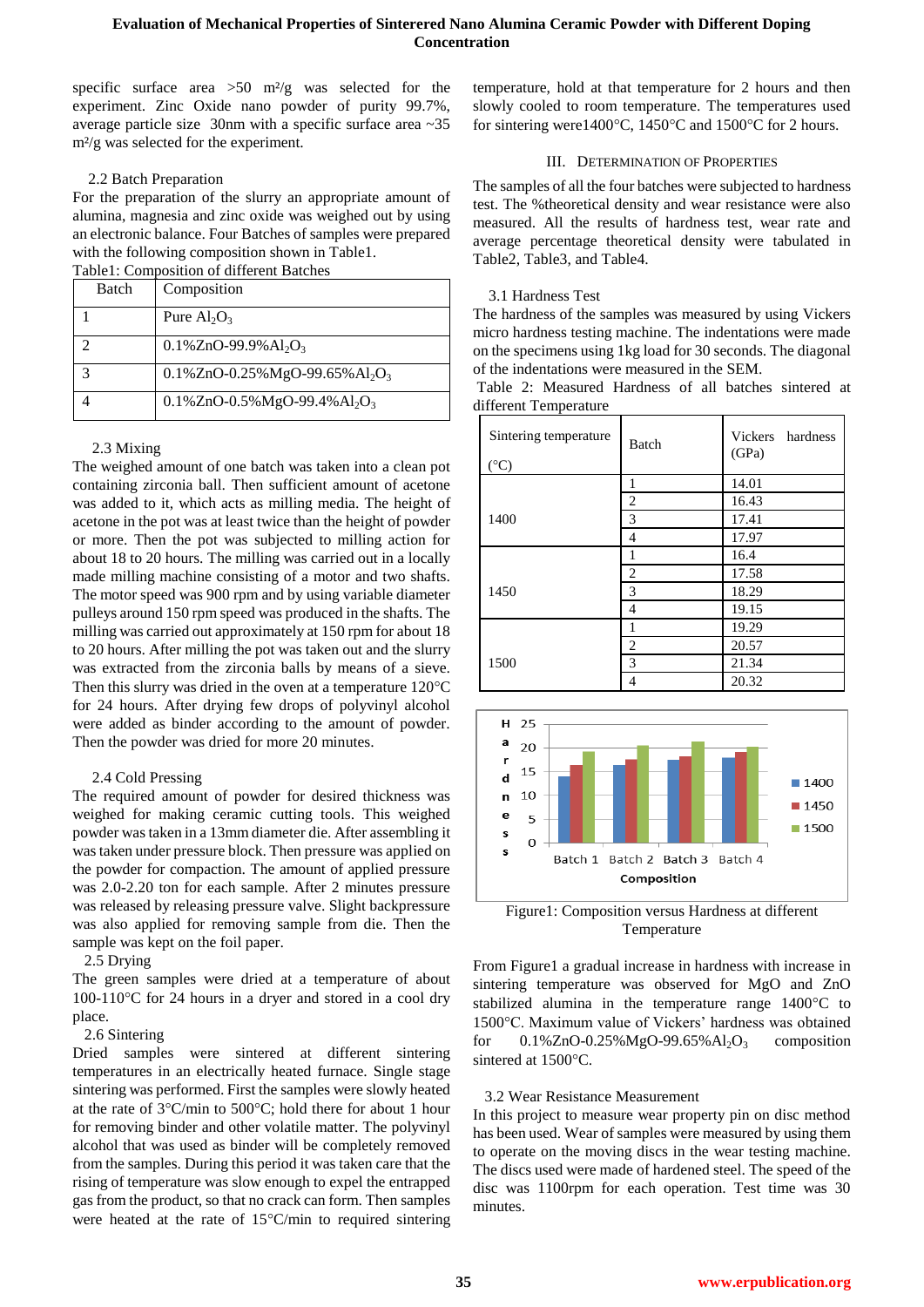# **Evaluation of Mechanical Properties of Sinterered Nano Alumina Ceramic Powder with Different Doping Concentration**

specific surface area  $>50$  m<sup>2</sup>/g was selected for the experiment. Zinc Oxide nano powder of purity 99.7%, average particle size 30nm with a specific surface area ~35 m²/g was selected for the experiment.

#### 2.2 Batch Preparation

For the preparation of the slurry an appropriate amount of alumina, magnesia and zinc oxide was weighed out by using an electronic balance. Four Batches of samples were prepared with the following composition shown in Table1.

Table1: Composition of different Batches

| Batch | Composition                                             |
|-------|---------------------------------------------------------|
|       | Pure $Al_2O_3$                                          |
|       | $0.1\%$ ZnO-99.9%Al <sub>2</sub> O <sub>3</sub>         |
|       | 0.1%ZnO-0.25%MgO-99.65%Al <sub>2</sub> O <sub>3</sub>   |
|       | $0.1\%$ ZnO-0.5%MgO-99.4%Al <sub>2</sub> O <sub>3</sub> |

## 2.3 Mixing

The weighed amount of one batch was taken into a clean pot containing zirconia ball. Then sufficient amount of acetone was added to it, which acts as milling media. The height of acetone in the pot was at least twice than the height of powder or more. Then the pot was subjected to milling action for about 18 to 20 hours. The milling was carried out in a locally made milling machine consisting of a motor and two shafts. The motor speed was 900 rpm and by using variable diameter pulleys around 150 rpm speed was produced in the shafts. The milling was carried out approximately at 150 rpm for about 18 to 20 hours. After milling the pot was taken out and the slurry was extracted from the zirconia balls by means of a sieve. Then this slurry was dried in the oven at a temperature  $120^{\circ}$ C for 24 hours. After drying few drops of polyvinyl alcohol were added as binder according to the amount of powder. Then the powder was dried for more 20 minutes.

## 2.4 Cold Pressing

The required amount of powder for desired thickness was weighed for making ceramic cutting tools. This weighed powder was taken in a 13mm diameter die. After assembling it was taken under pressure block. Then pressure was applied on the powder for compaction. The amount of applied pressure was 2.0-2.20 ton for each sample. After 2 minutes pressure was released by releasing pressure valve. Slight backpressure was also applied for removing sample from die. Then the sample was kept on the foil paper.

## 2.5 Drying

The green samples were dried at a temperature of about  $100-110$ <sup>o</sup>C for 24 hours in a dryer and stored in a cool dry place.

# 2.6 Sintering

Dried samples were sintered at different sintering temperatures in an electrically heated furnace. Single stage sintering was performed. First the samples were slowly heated at the rate of  $3^{\circ}$ C/min to  $500^{\circ}$ C; hold there for about 1 hour for removing binder and other volatile matter. The polyvinyl alcohol that was used as binder will be completely removed from the samples. During this period it was taken care that the rising of temperature was slow enough to expel the entrapped gas from the product, so that no crack can form. Then samples were heated at the rate of  $15^{\circ}$ C/min to required sintering

temperature, hold at that temperature for 2 hours and then slowly cooled to room temperature. The temperatures used for sintering were1400 $\degree$ C, 1450 $\degree$ C and 1500 $\degree$ C for 2 hours.

## III. DETERMINATION OF PROPERTIES

The samples of all the four batches were subjected to hardness test. The %theoretical density and wear resistance were also measured. All the results of hardness test, wear rate and average percentage theoretical density were tabulated in Table2, Table3, and Table4.

## 3.1 Hardness Test

The hardness of the samples was measured by using Vickers micro hardness testing machine. The indentations were made on the specimens using 1kg load for 30 seconds. The diagonal of the indentations were measured in the SEM.

|  | Table 2: Measured Hardness of all batches sintered at |  |  |  |
|--|-------------------------------------------------------|--|--|--|
|  | different Temperature                                 |  |  |  |

| Sintering temperature<br>$(^{\circ}C)$ | <b>Batch</b>   | Vickers hardness<br>(GPa) |
|----------------------------------------|----------------|---------------------------|
|                                        |                | 14.01                     |
|                                        | 2              | 16.43                     |
| 1400                                   | 3              | 17.41                     |
|                                        | 4              | 17.97                     |
|                                        |                | 16.4                      |
|                                        | 2              | 17.58                     |
| 1450                                   | 3              | 18.29                     |
|                                        | $\overline{4}$ | 19.15                     |
|                                        |                | 19.29                     |
|                                        | 2              | 20.57                     |
| 1500                                   | 3              | 21.34                     |
|                                        | 4              | 20.32                     |



Figure1: Composition versus Hardness at different Temperature

From Figure1 a gradual increase in hardness with increase in sintering temperature was observed for MgO and ZnO stabilized alumina in the temperature range  $1400^{\circ}$ C to 1500°C. Maximum value of Vickers' hardness was obtained for  $0.1\%$ ZnO-0.25%MgO-99.65%Al<sub>2</sub>O<sub>3</sub> composition sintered at 1500°C.

## 3.2 Wear Resistance Measurement

In this project to measure wear property pin on disc method has been used. Wear of samples were measured by using them to operate on the moving discs in the wear testing machine. The discs used were made of hardened steel. The speed of the disc was 1100rpm for each operation. Test time was 30 minutes.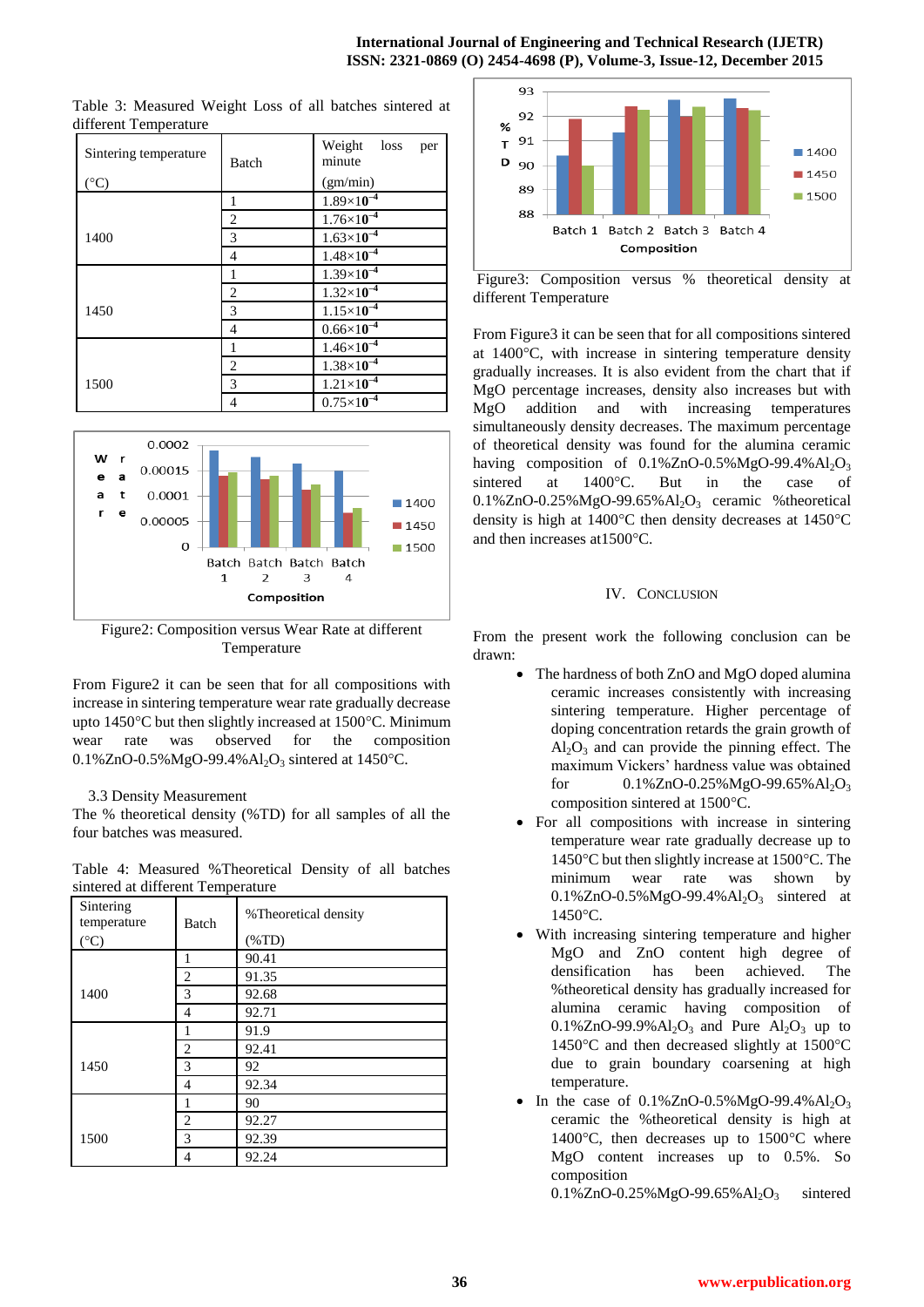#### **International Journal of Engineering and Technical Research (IJETR) ISSN: 2321-0869 (O) 2454-4698 (P), Volume-3, Issue-12, December 2015**

| Sintering temperature | Batch | Weight<br>loss<br>per<br>minute |  |  |  |  |
|-----------------------|-------|---------------------------------|--|--|--|--|
| $({}^{\circ}C)$       |       | (gm/min)                        |  |  |  |  |
|                       | 1     | $1.89\times10^{-4}$             |  |  |  |  |
|                       | 2     | $1.76 \times 10^{-4}$           |  |  |  |  |
| 1400                  | 3     | $1.63\times10^{-4}$             |  |  |  |  |
|                       | 4     | $1.48\times10^{-4}$             |  |  |  |  |
|                       | 1     | $1.39\times10^{-4}$             |  |  |  |  |
|                       | 2     | $1.32\times10^{-4}$             |  |  |  |  |
| 1450                  | 3     | $1.15\times10^{-4}$             |  |  |  |  |
|                       | 4     | $0.66\times10^{-4}$             |  |  |  |  |
|                       | 1     | $1.46\times10^{-4}$             |  |  |  |  |
|                       | 2     | $1.38\times10^{-4}$             |  |  |  |  |
| 1500                  | 3     | $1.21 \times 10^{-4}$           |  |  |  |  |
|                       | 4     | $0.75 \times 10^{-4}$           |  |  |  |  |

Table 3: Measured Weight Loss of all batches sintered at different Temperature



Figure2: Composition versus Wear Rate at different Temperature

From Figure2 it can be seen that for all compositions with increase in sintering temperature wear rate gradually decrease upto 1450°C but then slightly increased at 1500°C. Minimum wear rate was observed for the composition 0.1%ZnO-0.5%MgO-99.4%Al<sub>2</sub>O<sub>3</sub> sintered at 1450°C.

## 3.3 Density Measurement

The % theoretical density (%TD) for all samples of all the four batches was measured.

|  | Table 4: Measured %Theoretical Density of all batches |  |  |
|--|-------------------------------------------------------|--|--|
|  | sintered at different Temperature                     |  |  |

| Sintering<br>temperature | <b>Batch</b> | % Theoretical density<br>$(\%TD)$ |
|--------------------------|--------------|-----------------------------------|
| $({}^{\circ}C)$          |              |                                   |
|                          | 1            | 90.41                             |
|                          | 2            | 91.35                             |
| 1400                     | 3            | 92.68                             |
|                          | 4            | 92.71                             |
|                          |              | 91.9                              |
|                          | 2            | 92.41                             |
| 1450                     | 3            | 92                                |
|                          | 4            | 92.34                             |
|                          | 1            | 90                                |
|                          | 2            | 92.27                             |
| 1500                     | 3            | 92.39                             |
|                          | 4            | 92.24                             |



Figure3: Composition versus % theoretical density at different Temperature

From Figure3 it can be seen that for all compositions sintered at  $1400^{\circ}$ C, with increase in sintering temperature density gradually increases. It is also evident from the chart that if MgO percentage increases, density also increases but with MgO addition and with increasing temperatures simultaneously density decreases. The maximum percentage of theoretical density was found for the alumina ceramic having composition of  $0.1\%$ ZnO-0.5%MgO-99.4%Al<sub>2</sub>O<sub>3</sub> sintered at 1400°C. But in the case of  $0.1\%$ ZnO-0.25%MgO-99.65%Al<sub>2</sub>O<sub>3</sub> ceramic %theoretical density is high at  $1400^{\circ}$ C then density decreases at  $1450^{\circ}$ C and then increases at  $1500^{\circ}$ C.

# IV. CONCLUSION

From the present work the following conclusion can be drawn:

- The hardness of both ZnO and MgO doped alumina ceramic increases consistently with increasing sintering temperature. Higher percentage of doping concentration retards the grain growth of  $Al_2O_3$  and can provide the pinning effect. The maximum Vickers' hardness value was obtained for  $0.1\%$ ZnO-0.25%MgO-99.65%Al<sub>2</sub>O<sub>3</sub> composition sintered at 1500°C.
- For all compositions with increase in sintering temperature wear rate gradually decrease up to 1450 $\degree$ C but then slightly increase at 1500 $\degree$ C. The minimum wear rate was shown by  $0.1\%$ ZnO-0.5%MgO-99.4%Al<sub>2</sub>O<sub>3</sub> sintered at  $1450^{\circ}$ C.
- With increasing sintering temperature and higher MgO and ZnO content high degree of densification has been achieved. The %theoretical density has gradually increased for alumina ceramic having composition of  $0.1\%$ ZnO-99.9% $Al_2O_3$  and Pure  $Al_2O_3$  up to 1450 $\degree$ C and then decreased slightly at 1500 $\degree$ C due to grain boundary coarsening at high temperature.
- In the case of  $0.1\%$ ZnO-0.5%MgO-99.4%Al<sub>2</sub>O<sub>3</sub> ceramic the %theoretical density is high at 1400 $\degree$ C, then decreases up to 1500 $\degree$ C where MgO content increases up to 0.5%. So composition 0.1%ZnO-0.25%MgO-99.65%Al<sub>2</sub>O<sub>3</sub> sintered